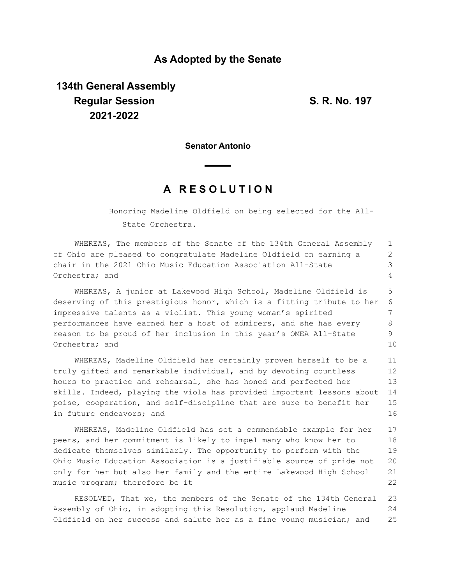### **As Adopted by the Senate**

# **134th General Assembly Regular Session S. R. No. 197 2021-2022**

**Senator Antonio**

## **A R E S O L U T I O N**

Honoring Madeline Oldfield on being selected for the All-State Orchestra.

WHEREAS, The members of the Senate of the 134th General Assembly of Ohio are pleased to congratulate Madeline Oldfield on earning a chair in the 2021 Ohio Music Education Association All-State Orchestra; and 1 2 3 4

WHEREAS, A junior at Lakewood High School, Madeline Oldfield is deserving of this prestigious honor, which is a fitting tribute to her impressive talents as a violist. This young woman's spirited performances have earned her a host of admirers, and she has every reason to be proud of her inclusion in this year's OMEA All-State Orchestra; and 5 6 7 8 9 10

WHEREAS, Madeline Oldfield has certainly proven herself to be a truly gifted and remarkable individual, and by devoting countless hours to practice and rehearsal, she has honed and perfected her skills. Indeed, playing the viola has provided important lessons about poise, cooperation, and self-discipline that are sure to benefit her in future endeavors; and 11 12 13 14 15 16

WHEREAS, Madeline Oldfield has set a commendable example for her peers, and her commitment is likely to impel many who know her to dedicate themselves similarly. The opportunity to perform with the Ohio Music Education Association is a justifiable source of pride not only for her but also her family and the entire Lakewood High School music program; therefore be it 17 18 19 20 21 22

RESOLVED, That we, the members of the Senate of the 134th General Assembly of Ohio, in adopting this Resolution, applaud Madeline Oldfield on her success and salute her as a fine young musician; and 23 24 25